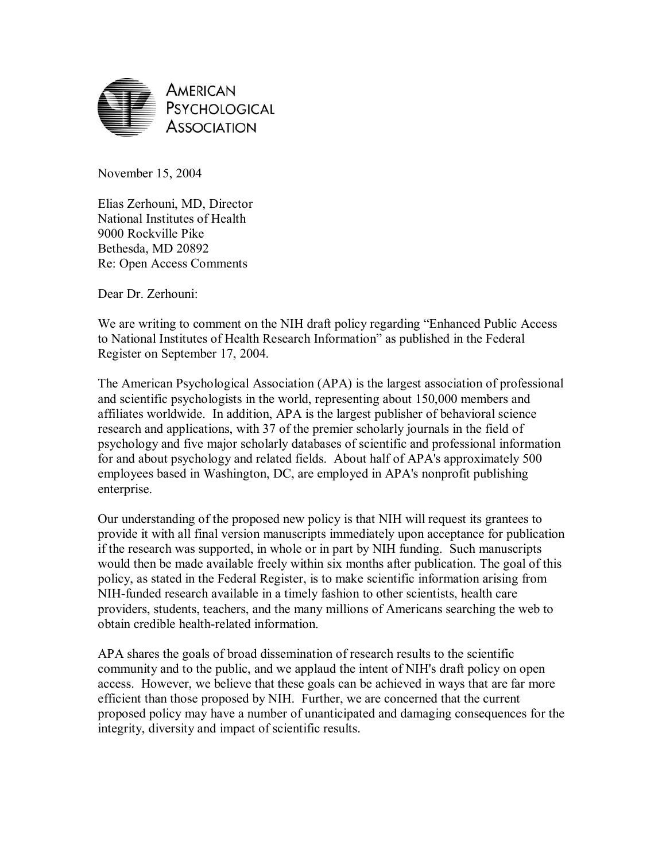

November 15, 2004

Elias Zerhouni, MD, Director National Institutes of Health 9000 Rockville Pike Bethesda, MD 20892 Re: Open Access Comments

Dear Dr. Zerhouni:

We are writing to comment on the NIH draft policy regarding "Enhanced Public Access" to National Institutes of Health Research Information" as published in the Federal Register on September 17, 2004.

The American Psychological Association (APA) is the largest association of professional and scientific psychologists in the world, representing about 150,000 members and affiliates worldwide. In addition, APA is the largest publisher of behavioral science research and applications, with 37 of the premier scholarly journals in the field of psychology and five major scholarly databases of scientific and professional information for and about psychology and related fields. About half of APA's approximately 500 employees based in Washington, DC, are employed in APA's nonprofit publishing enterprise.

Our understanding of the proposed new policy is that NIH will request its grantees to provide it with all final version manuscripts immediately upon acceptance for publication if the research was supported, in whole or in part by NIH funding. Such manuscripts would then be made available freely within six months after publication. The goal of this policy, as stated in the Federal Register, is to make scientific information arising from NIH-funded research available in a timely fashion to other scientists, health care providers, students, teachers, and the many millions of Americans searching the web to obtain credible health-related information.

APA shares the goals of broad dissemination of research results to the scientific community and to the public, and we applaud the intent of NIH's draft policy on open access. However, we believe that these goals can be achieved in ways that are far more efficient than those proposed by NIH. Further, we are concerned that the current proposed policy may have a number of unanticipated and damaging consequences for the integrity, diversity and impact of scientific results.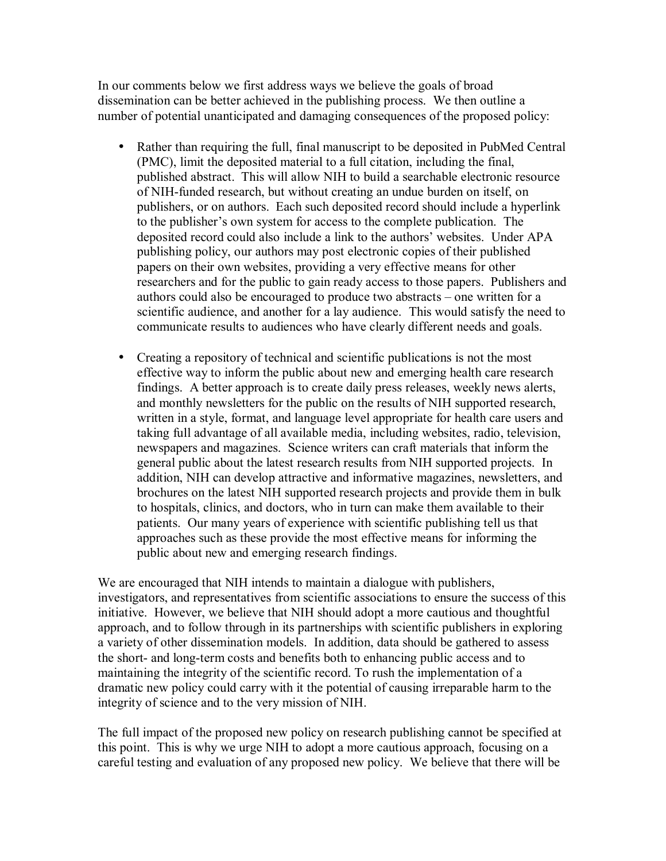In our comments below we first address ways we believe the goals of broad dissemination can be better achieved in the publishing process. We then outline a number of potential unanticipated and damaging consequences of the proposed policy:

- Rather than requiring the full, final manuscript to be deposited in PubMed Central (PMC), limit the deposited material to a full citation, including the final, published abstract. This will allow NIH to build a searchable electronic resource of NIH-funded research, but without creating an undue burden on itself, on publishers, or on authors. Each such deposited record should include a hyperlink to the publisher's own system for access to the complete publication. The deposited record could also include a link to the authors' websites. Under APA publishing policy, our authors may post electronic copies of their published papers on their own websites, providing a very effective means for other researchers and for the public to gain ready access to those papers. Publishers and authors could also be encouraged to produce two abstracts – one written for a scientific audience, and another for a lay audience. This would satisfy the need to communicate results to audiences who have clearly different needs and goals.
- Creating a repository of technical and scientific publications is not the most effective way to inform the public about new and emerging health care research findings. A better approach is to create daily press releases, weekly news alerts, and monthly newsletters for the public on the results of NIH supported research, written in a style, format, and language level appropriate for health care users and taking full advantage of all available media, including websites, radio, television, newspapers and magazines. Science writers can craft materials that inform the general public about the latest research results from NIH supported projects. In addition, NIH can develop attractive and informative magazines, newsletters, and brochures on the latest NIH supported research projects and provide them in bulk to hospitals, clinics, and doctors, who in turn can make them available to their patients. Our many years of experience with scientific publishing tell us that approaches such as these provide the most effective means for informing the public about new and emerging research findings.

We are encouraged that NIH intends to maintain a dialogue with publishers, investigators, and representatives from scientific associations to ensure the success of this initiative. However, we believe that NIH should adopt a more cautious and thoughtful approach, and to follow through in its partnerships with scientific publishers in exploring a variety of other dissemination models. In addition, data should be gathered to assess the short- and long-term costs and benefits both to enhancing public access and to maintaining the integrity of the scientific record. To rush the implementation of a dramatic new policy could carry with it the potential of causing irreparable harm to the integrity of science and to the very mission of NIH.

The full impact of the proposed new policy on research publishing cannot be specified at this point. This is why we urge NIH to adopt a more cautious approach, focusing on a careful testing and evaluation of any proposed new policy. We believe that there will be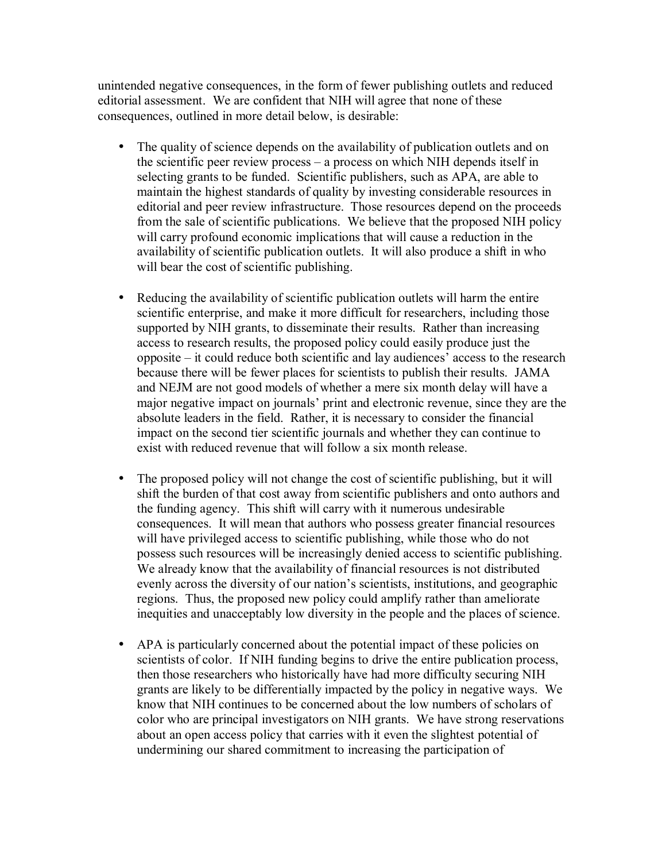unintended negative consequences, in the form of fewer publishing outlets and reduced editorial assessment. We are confident that NIH will agree that none of these consequences, outlined in more detail below, is desirable:

- The quality of science depends on the availability of publication outlets and on the scientific peer review process – a process on which NIH depends itself in selecting grants to be funded. Scientific publishers, such as APA, are able to maintain the highest standards of quality by investing considerable resources in editorial and peer review infrastructure. Those resources depend on the proceeds from the sale of scientific publications. We believe that the proposed NIH policy will carry profound economic implications that will cause a reduction in the availability of scientific publication outlets. It will also produce a shift in who will bear the cost of scientific publishing.
- Reducing the availability of scientific publication outlets will harm the entire scientific enterprise, and make it more difficult for researchers, including those supported by NIH grants, to disseminate their results. Rather than increasing access to research results, the proposed policy could easily produce just the  $opposite - it could reduce both scientific and lay audiences' access to the research$ because there will be fewer places for scientists to publish their results. JAMA and NEJM are not good models of whether a mere six month delay will have a major negative impact on journals' print and electronic revenue, since they are the absolute leaders in the field. Rather, it is necessary to consider the financial impact on the second tier scientific journals and whether they can continue to exist with reduced revenue that will follow a six month release.
- The proposed policy will not change the cost of scientific publishing, but it will shift the burden of that cost away from scientific publishers and onto authors and the funding agency. This shift will carry with it numerous undesirable consequences. It will mean that authors who possess greater financial resources will have privileged access to scientific publishing, while those who do not possess such resources will be increasingly denied access to scientific publishing. We already know that the availability of financial resources is not distributed evenly across the diversity of our nation's scientists, institutions, and geographic regions. Thus, the proposed new policy could amplify rather than ameliorate inequities and unacceptably low diversity in the people and the places of science.
- APA is particularly concerned about the potential impact of these policies on scientists of color. If NIH funding begins to drive the entire publication process, then those researchers who historically have had more difficulty securing NIH grants are likely to be differentially impacted by the policy in negative ways. We know that NIH continues to be concerned about the low numbers of scholars of color who are principal investigators on NIH grants. We have strong reservations about an open access policy that carries with it even the slightest potential of undermining our shared commitment to increasing the participation of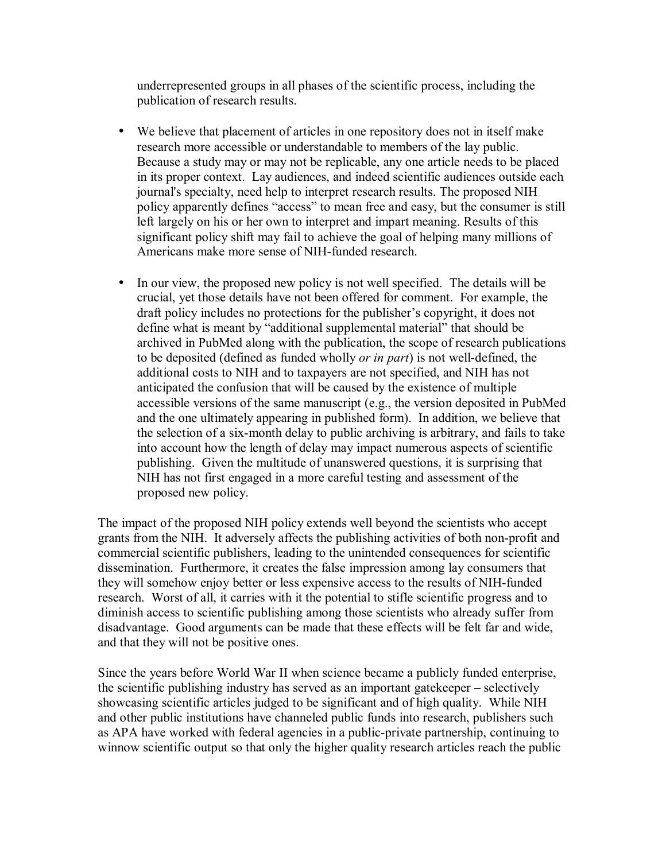underrepresented groups in all phases of the scientific process, including the publication of research results.

- We believe that placement of articles in one repository does not in itself make research more accessible or understandable to members of the lay public. Because a study may or may not be replicable, any one article needs to be placed in its proper context. Lay audiences, and indeed scientific audiences outside each journal's specialty, need help to interpret research results. The proposed NIH policy apparently defines "access" to mean free and easy, but the consumer is still left largely on his or her own to interpret and impart meaning. Results of this significant policy shift may fail to achieve the goal of helping many millions of Americans make more sense of NIH-funded research.
- In our view, the proposed new policy is not well specified. The details will be crucial, yet those details have not been offered for comment. For example, the draft policy includes no protections for the publisher's copyright, it does not define what is meant by "additional supplemental material" that should be archived in PubMed along with the publication, the scope of research publications to be deposited (defined as funded wholly *or in part*) is not well-defined, the additional costs to NIH and to taxpayers are not specified, and NIH has not anticipated the confusion that will be caused by the existence of multiple accessible versions of the same manuscript (e.g., the version deposited in PubMed and the one ultimately appearing in published form). In addition, we believe that the selection of a six-month delay to public archiving is arbitrary, and fails to take into account how the length of delay may impact numerous aspects of scientific publishing. Given the multitude of unanswered questions, it is surprising that NIH has not first engaged in a more careful testing and assessment of the proposed new policy.

The impact of the proposed NIH policy extends well beyond the scientists who accept grants from the NIH. It adversely affects the publishing activities of both non-profit and commercial scientific publishers, leading to the unintended consequences for scientific dissemination. Furthermore, it creates the false impression among lay consumers that they will somehow enjoy better or less expensive access to the results of NIH-funded research. Worst of all, it carries with it the potential to stifle scientific progress and to diminish access to scientific publishing among those scientists who already suffer from disadvantage. Good arguments can be made that these effects will be felt far and wide, and that they will not be positive ones.

Since the years before World War II when science became a publicly funded enterprise, the scientific publishing industry has served as an important gate  $k$ eper  $-$  selectively showcasing scientific articles judged to be significant and of high quality. While NIH and other public institutions have channeled public funds into research, publishers such as APA have worked with federal agencies in a public-private partnership, continuing to winnow scientific output so that only the higher quality research articles reach the public